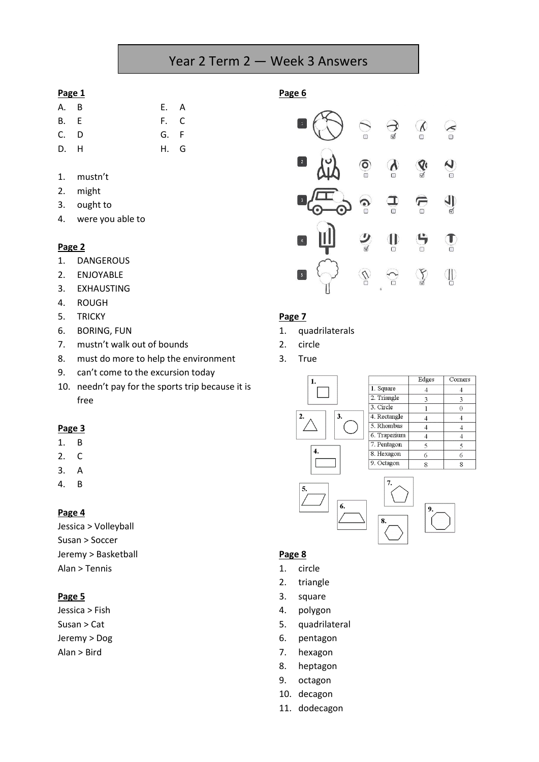# Year 2 Term 2 — Week 3 Answers

#### **Page 1**

- A. B E. A B. E F. C C. D G. F D. H H. G
- 1. mustn't
- 2. might
- 3. ought to
- 4. were you able to

#### **Page 2**

- 1. DANGEROUS
- 2. ENJOYABLE
- 3. EXHAUSTING
- 4. ROUGH
- 5. TRICKY
- 6. BORING, FUN
- 7. mustn't walk out of bounds
- 8. must do more to help the environment
- 9. can't come to the excursion today
- 10. needn't pay for the sports trip because it is free

#### **Page 3**

- 1. B
- 2. C
- 3. A
- 4. B

#### **Page 4**

Jessica > Volleyball Susan > Soccer Jeremy > Basketball Alan > Tennis

#### **Page 5**

Jessica > Fish Susan > Cat Jeremy > Dog Alan > Bird

### **Page 6**



#### **Page 7**

- 1. quadrilaterals
- 2. circle
- 3. True



|              | Edges | Corners |
|--------------|-------|---------|
| 1. Square    |       |         |
| 2. Triangle  | 3     | 3       |
| 3. Circle    |       |         |
| 4. Rectangle |       |         |
| 5. Rhombus   |       |         |
| 6. Trapezium |       |         |
| 7. Pentagon  |       |         |
| 8. Hexagon   | 6     | 6       |
| 9. Octagon   |       | g       |



#### **Page 8**

- 1. circle
- 2. triangle
- 3. square
- 4. polygon
- 5. quadrilateral
- 6. pentagon
- 7. hexagon
- 8. heptagon
- 9. octagon
- 10. decagon
- 11. dodecagon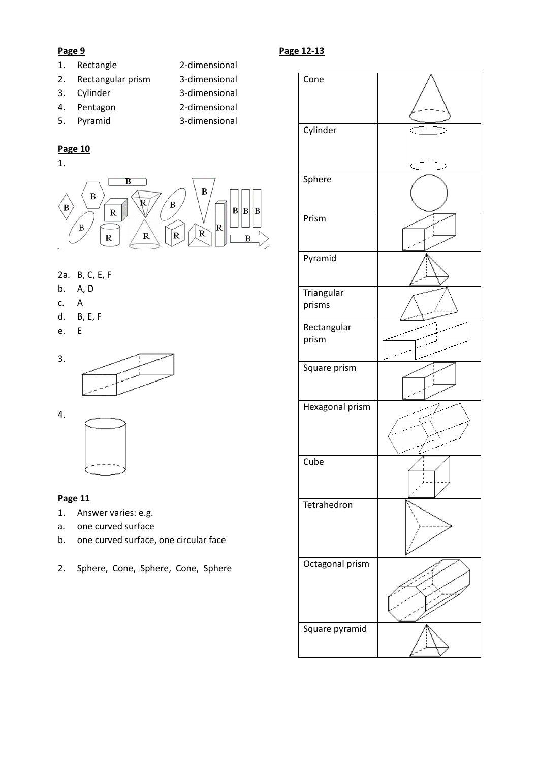#### **Page 9**

- 1. Rectangle 2-dimensional
- 2. Rectangular prism 3-dimensional
- 
- 3. Cylinder 3-dimensional
- 4. Pentagon 2-dimensional
- 5. Pyramid 3-dimensional

## **Page 10**

1.



## 2a. B, C, E, F

- b. A, D
- c. A
- d. B, E, F
- e. E





#### **Page 11**

- 1. Answer varies: e.g.
- a. one curved surface
- b. one curved surface, one circular face
- 2. Sphere, Cone, Sphere, Cone, Sphere

## **Page 12-13**

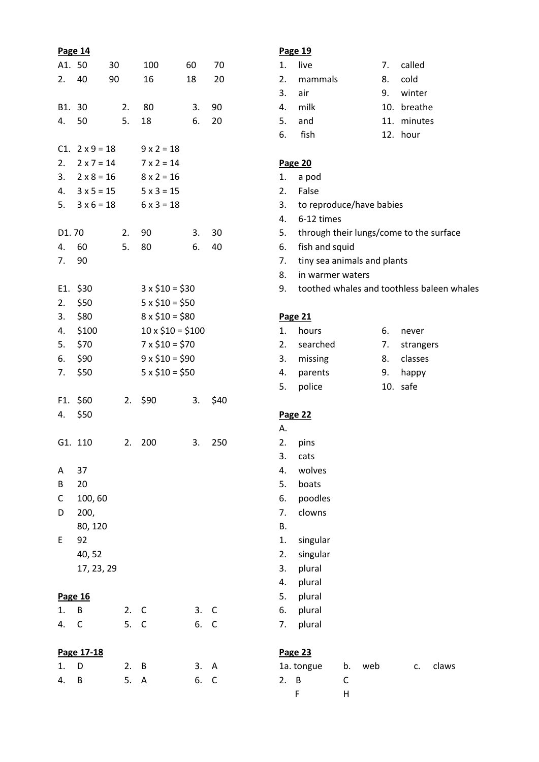|            | Page 14               |      |                        |    |      |
|------------|-----------------------|------|------------------------|----|------|
| A1. 50     |                       | 30   | 100                    | 60 | 70   |
| 2.40       |                       | 90   | 16                     | 18 | 20   |
|            |                       |      |                        |    |      |
| B1. 30     |                       | 2.   | 80                     | 3. | 90   |
| 4.         | 50                    | 5.   | 18                     | 6. | 20   |
|            |                       |      |                        |    |      |
|            | $C1. 2 \times 9 = 18$ |      | $9 \times 2 = 18$      |    |      |
|            | 2. $2 \times 7 = 14$  |      | $7 \times 2 = 14$      |    |      |
|            | 3. $2 \times 8 = 16$  |      | $8 \times 2 = 16$      |    |      |
|            | 4. $3 \times 5 = 15$  |      | $5 \times 3 = 15$      |    |      |
| 5.         | $3 \times 6 = 18$     |      | $6 \times 3 = 18$      |    |      |
|            |                       |      |                        |    |      |
| D1.70      |                       | 2.   | 90                     | 3. | 30   |
| 4.         | 60                    | 5.   | 80                     | 6. | 40   |
| 7.         | 90                    |      |                        |    |      |
|            |                       |      |                        |    |      |
|            | E1. \$30              |      | $3 \times $10 = $30$   |    |      |
|            | $2.$ \$50             |      | $5 \times $10 = $50$   |    |      |
|            | $3.$ \$80             |      | $8 \times $10 = $80$   |    |      |
|            | 4. \$100              |      | $10 \times $10 = $100$ |    |      |
|            | 5. \$70               |      | $7 \times $10 = $70$   |    |      |
| 6.         | \$90                  |      | $9 \times $10 = $90$   |    |      |
|            |                       |      |                        |    |      |
| 7.         | \$50                  |      | $5 \times $10 = $50$   |    |      |
|            | F1. \$60              | 2.   | \$90                   | 3. | \$40 |
| 4.         | \$50                  |      |                        |    |      |
|            |                       |      |                        |    |      |
|            | G1. 110               | 2.   | 200                    | 3. | 250  |
|            |                       |      |                        |    |      |
| Α          | 37                    |      |                        |    |      |
| В          | 20                    |      |                        |    |      |
| C          | 100,60                |      |                        |    |      |
| D          | 200,                  |      |                        |    |      |
|            | 80, 120               |      |                        |    |      |
| E          | 92                    |      |                        |    |      |
|            |                       |      |                        |    |      |
|            | 40,52                 |      |                        |    |      |
|            | 17, 23, 29            |      |                        |    |      |
|            |                       |      |                        |    |      |
| 1.         | Page 16<br>В          | 2.   | $\mathsf{C}$           | 3. | С    |
| 4.         | C                     | 5. C |                        | 6. |      |
|            |                       |      |                        |    | С    |
| Page 17-18 |                       |      |                        |    |      |
| 1.         | D                     | 2.   | В                      | 3. | Α    |
| 4.         | В                     | 5.   | A                      | 6. | C    |
|            |                       |      |                        |    |      |

## **Page 19**

|    | 1. live    | 7. called   |
|----|------------|-------------|
|    | 2. mammals | 8. cold     |
|    | 3. air     | 9. winter   |
|    | 4. milk    | 10. breathe |
| 5. | and        | 11. minutes |
|    | 6. fish    | 12. hour    |

#### **Page 20**

- 1. a pod
- 2. False
- 3. to reproduce/have babies
- 4. 6-12 times
- 5. through their lungs/come to the surface
- 6. fish and squid
- 7. tiny sea animals and plants
- 8. in warmer waters
- 9. toothed whales and toothless baleen whales

#### **Page 21**

| 1. | hours       | 6. | never        |
|----|-------------|----|--------------|
|    | 2. searched |    | 7. strangers |
|    | 3. missing  |    | 8. classes   |
|    | 4. parents  |    | 9. happy     |
| 5. | police      |    | 10. safe     |

#### **Page 22**

- A.
- 2. pins
- 3. cats 4. wolves
- 5. boats
- 6. poodles
- 7. clowns
- B.
- 1. singular
- 2. singular
- 3. plural
- 4. plural
- 5. plural
- 6. plural
- 7. plural

#### **Page 23**

| 1a. tongue |   | b. web | C. | claws |
|------------|---|--------|----|-------|
| 2. B       |   |        |    |       |
|            | ч |        |    |       |